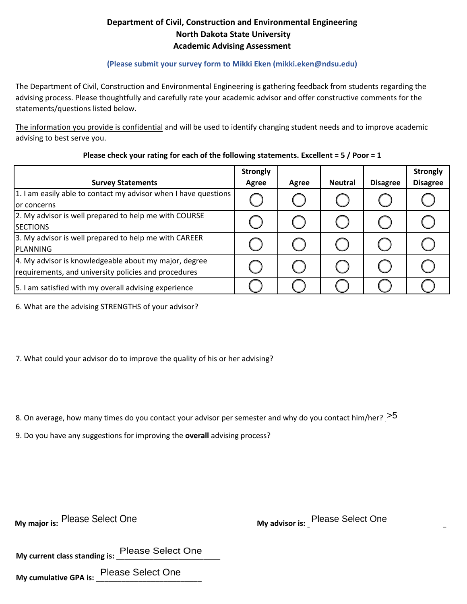## **Department of Civil, Construction and Environmental Engineering North Dakota State University Academic Advising Assessment**

## **(Please submit your survey form to Mikki Eken (mikki.eken@ndsu.edu)**

The Department of Civil, Construction and Environmental Engineering is gathering feedback from students regarding the advising process. Please thoughtfully and carefully rate your academic advisor and offer constructive comments for the statements/questions listed below.

advising to best serve you. The information you provide is confidential and will be used to identify changing student needs and to improve academic

|                                                                 | <b>Strongly</b> |       |                |                 | <b>Strongly</b> |
|-----------------------------------------------------------------|-----------------|-------|----------------|-----------------|-----------------|
| <b>Survey Statements</b>                                        | Agree           | Agree | <b>Neutral</b> | <b>Disagree</b> | <b>Disagree</b> |
| 1. I am easily able to contact my advisor when I have questions |                 |       |                |                 |                 |
| for concerns                                                    |                 |       |                |                 |                 |
| 2. My advisor is well prepared to help me with COURSE           |                 |       |                |                 |                 |
| <b>SECTIONS</b>                                                 |                 |       |                |                 |                 |
| 3. My advisor is well prepared to help me with CAREER           |                 |       |                |                 |                 |
| PLANNING                                                        |                 |       |                |                 |                 |
| 4. My advisor is knowledgeable about my major, degree           |                 |       |                |                 |                 |
| requirements, and university policies and procedures            |                 |       |                |                 |                 |
| 5. I am satisfied with my overall advising experience           |                 |       |                |                 |                 |

## **Please check your rating for each of the following statements. Excellent = 5 / Poor = 1**

6. What are the advising STRENGTHS of your advisor?

7. What could your advisor do to improve the quality of his or her advising?

8. On average, how many times do you contact your advisor per semester and why do you contact him/her?  $>$  5

9. Do you have any suggestions for improving the **overall** advising process?

**My major is: Please Select One** 

Please Select One **My advisor is:** Please Select One **Please Select One** 

**My current class standing is:** \_\_\_\_\_\_\_\_\_\_\_\_\_\_\_\_\_\_\_\_\_\_\_\_\_ Please Select One

**My cumulative GPA is:** \_\_\_\_\_\_\_\_\_\_\_\_\_\_\_\_\_\_\_\_\_\_\_\_\_ Please Select One